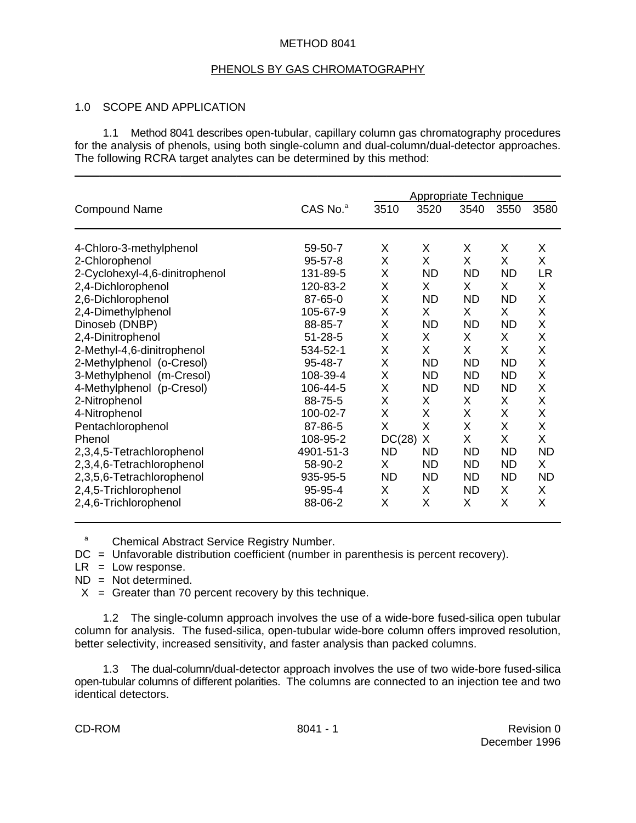## METHOD 8041

### PHENOLS BY GAS CHROMATOGRAPHY

## 1.0 SCOPE AND APPLICATION

1.1 Method 8041 describes open-tubular, capillary column gas chromatography procedures for the analysis of phenols, using both single-column and dual-column/dual-detector approaches. The following RCRA target analytes can be determined by this method:

\_\_\_\_\_\_\_\_\_\_\_\_\_\_\_\_\_\_\_\_\_\_\_\_\_\_\_\_\_\_\_\_\_\_\_\_\_\_\_\_\_\_\_\_\_\_\_\_\_\_\_\_\_\_\_\_\_\_\_\_\_\_\_\_\_\_\_\_\_\_\_\_\_\_\_\_\_\_

|                                |               | <b>Appropriate Technique</b> |           |           |           |           |
|--------------------------------|---------------|------------------------------|-----------|-----------|-----------|-----------|
| <b>Compound Name</b>           | $CAS$ No. $a$ | 3510                         | 3520      | 3540      | 3550      | 3580      |
| 4-Chloro-3-methylphenol        | 59-50-7       | X                            | X         | Χ         | X         | X         |
| 2-Chlorophenol                 | $95 - 57 - 8$ | X                            | X         | X         | X         | X         |
| 2-Cyclohexyl-4,6-dinitrophenol | 131-89-5      | X                            | <b>ND</b> | <b>ND</b> | <b>ND</b> | <b>LR</b> |
| 2,4-Dichlorophenol             | 120-83-2      | X                            | X.        | X.        | X.        | X         |
| 2,6-Dichlorophenol             | 87-65-0       | X                            | <b>ND</b> | <b>ND</b> | <b>ND</b> | X         |
| 2,4-Dimethylphenol             | 105-67-9      | X                            | X.        | X.        | X.        | X         |
| Dinoseb (DNBP)                 | 88-85-7       | X                            | <b>ND</b> | <b>ND</b> | <b>ND</b> | X         |
| 2,4-Dinitrophenol              | $51 - 28 - 5$ | X                            | X         | X         | X.        | X         |
| 2-Methyl-4,6-dinitrophenol     | 534-52-1      | X                            | X         | X         | X         | X         |
| 2-Methylphenol (o-Cresol)      | 95-48-7       | X                            | <b>ND</b> | <b>ND</b> | <b>ND</b> | X         |
| 3-Methylphenol (m-Cresol)      | 108-39-4      | X                            | <b>ND</b> | <b>ND</b> | <b>ND</b> | X         |
| 4-Methylphenol (p-Cresol)      | 106-44-5      | X                            | <b>ND</b> | <b>ND</b> | <b>ND</b> | X         |
| 2-Nitrophenol                  | 88-75-5       | X                            | X         | X         | X         | X         |
| 4-Nitrophenol                  | 100-02-7      | X                            | X         | X         | X         | X         |
| Pentachlorophenol              | 87-86-5       | X                            | X         | X         | X         | X         |
| Phenol                         | 108-95-2      | $DC(28)$ X                   |           | X         | X         | X         |
| 2,3,4,5-Tetrachlorophenol      | 4901-51-3     | ND                           | <b>ND</b> | <b>ND</b> | <b>ND</b> | <b>ND</b> |
| 2,3,4,6-Tetrachlorophenol      | 58-90-2       | X                            | <b>ND</b> | <b>ND</b> | <b>ND</b> | X         |
| 2,3,5,6-Tetrachlorophenol      | 935-95-5      | <b>ND</b>                    | <b>ND</b> | <b>ND</b> | <b>ND</b> | <b>ND</b> |
| 2,4,5-Trichlorophenol          | 95-95-4       | X                            | X         | <b>ND</b> | X         | X         |
| 2,4,6-Trichlorophenol          | 88-06-2       | X                            | X         | X         | X         | X         |

<sup>a</sup> Chemical Abstract Service Registry Number.

- DC = Unfavorable distribution coefficient (number in parenthesis is percent recovery).
- $LR = Low response.$

ND = Not determined.

 $X =$  Greater than 70 percent recovery by this technique.

1.2 The single-column approach involves the use of a wide-bore fused-silica open tubular column for analysis. The fused-silica, open-tubular wide-bore column offers improved resolution, better selectivity, increased sensitivity, and faster analysis than packed columns.

1.3 The dual-column/dual-detector approach involves the use of two wide-bore fused-silica open-tubular columns of different polarities. The columns are connected to an injection tee and two identical detectors.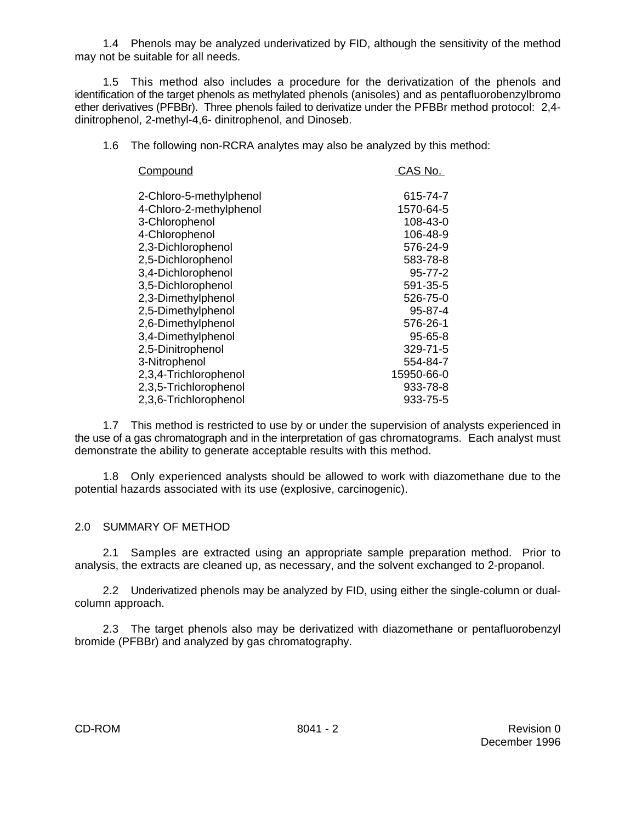1.4 Phenols may be analyzed underivatized by FID, although the sensitivity of the method may not be suitable for all needs.

1.5 This method also includes a procedure for the derivatization of the phenols and identification of the target phenols as methylated phenols (anisoles) and as pentafluorobenzylbromo ether derivatives (PFBBr). Three phenols failed to derivatize under the PFBBr method protocol: 2,4 dinitrophenol, 2-methyl-4,6- dinitrophenol, and Dinoseb.

1.6 The following non-RCRA analytes may also be analyzed by this method:

| Compound                | CAS No.       |
|-------------------------|---------------|
| 2-Chloro-5-methylphenol | 615-74-7      |
| 4-Chloro-2-methylphenol | 1570-64-5     |
| 3-Chlorophenol          | 108-43-0      |
| 4-Chlorophenol          | 106-48-9      |
| 2,3-Dichlorophenol      | 576-24-9      |
| 2,5-Dichlorophenol      | 583-78-8      |
| 3,4-Dichlorophenol      | $95 - 77 - 2$ |
| 3,5-Dichlorophenol      | 591-35-5      |
| 2,3-Dimethylphenol      | 526-75-0      |
| 2,5-Dimethylphenol      | 95-87-4       |
| 2,6-Dimethylphenol      | 576-26-1      |
| 3,4-Dimethylphenol      | 95-65-8       |
| 2,5-Dinitrophenol       | 329-71-5      |
| 3-Nitrophenol           | 554-84-7      |
| 2,3,4-Trichlorophenol   | 15950-66-0    |
| 2,3,5-Trichlorophenol   | 933-78-8      |
| 2,3,6-Trichlorophenol   | 933-75-5      |

1.7 This method is restricted to use by or under the supervision of analysts experienced in the use of a gas chromatograph and in the interpretation of gas chromatograms. Each analyst must demonstrate the ability to generate acceptable results with this method.

1.8 Only experienced analysts should be allowed to work with diazomethane due to the potential hazards associated with its use (explosive, carcinogenic).

# 2.0 SUMMARY OF METHOD

2.1 Samples are extracted using an appropriate sample preparation method. Prior to analysis, the extracts are cleaned up, as necessary, and the solvent exchanged to 2-propanol.

2.2 Underivatized phenols may be analyzed by FID, using either the single-column or dualcolumn approach.

2.3 The target phenols also may be derivatized with diazomethane or pentafluorobenzyl bromide (PFBBr) and analyzed by gas chromatography.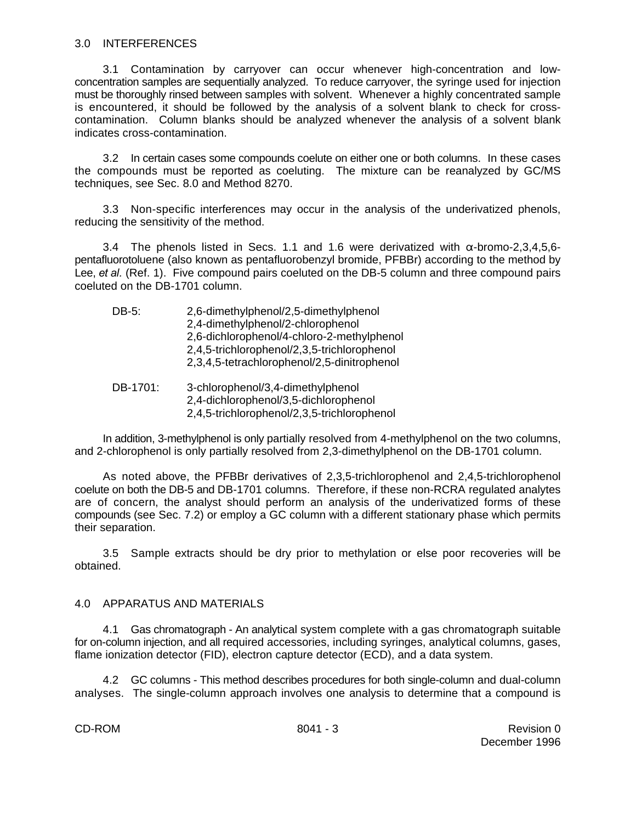### 3.0 INTERFERENCES

3.1 Contamination by carryover can occur whenever high-concentration and lowconcentration samples are sequentially analyzed. To reduce carryover, the syringe used for injection must be thoroughly rinsed between samples with solvent. Whenever a highly concentrated sample is encountered, it should be followed by the analysis of a solvent blank to check for crosscontamination. Column blanks should be analyzed whenever the analysis of a solvent blank indicates cross-contamination.

3.2 In certain cases some compounds coelute on either one or both columns. In these cases the compounds must be reported as coeluting. The mixture can be reanalyzed by GC/MS techniques, see Sec. 8.0 and Method 8270.

3.3 Non-specific interferences may occur in the analysis of the underivatized phenols, reducing the sensitivity of the method.

3.4 The phenols listed in Secs. 1.1 and 1.6 were derivatized with  $\alpha$ -bromo-2,3,4,5,6pentafluorotoluene (also known as pentafluorobenzyl bromide, PFBBr) according to the method by Lee, *et al.* (Ref. 1). Five compound pairs coeluted on the DB-5 column and three compound pairs coeluted on the DB-1701 column.

| DB-5:    | 2,6-dimethylphenol/2,5-dimethylphenol<br>2,4-dimethylphenol/2-chlorophenol<br>2,6-dichlorophenol/4-chloro-2-methylphenol<br>2,4,5-trichlorophenol/2,3,5-trichlorophenol<br>2,3,4,5-tetrachlorophenol/2,5-dinitrophenol |
|----------|------------------------------------------------------------------------------------------------------------------------------------------------------------------------------------------------------------------------|
| DB-1701: | 3-chlorophenol/3,4-dimethylphenol<br>2,4-dichlorophenol/3,5-dichlorophenol<br>2,4,5-trichlorophenol/2,3,5-trichlorophenol                                                                                              |

In addition, 3-methylphenol is only partially resolved from 4-methylphenol on the two columns, and 2-chlorophenol is only partially resolved from 2,3-dimethylphenol on the DB-1701 column.

As noted above, the PFBBr derivatives of 2,3,5-trichlorophenol and 2,4,5-trichlorophenol coelute on both the DB-5 and DB-1701 columns. Therefore, if these non-RCRA regulated analytes are of concern, the analyst should perform an analysis of the underivatized forms of these compounds (see Sec. 7.2) or employ a GC column with a different stationary phase which permits their separation.

3.5 Sample extracts should be dry prior to methylation or else poor recoveries will be obtained.

## 4.0 APPARATUS AND MATERIALS

4.1 Gas chromatograph - An analytical system complete with a gas chromatograph suitable for on-column injection, and all required accessories, including syringes, analytical columns, gases, flame ionization detector (FID), electron capture detector (ECD), and a data system.

4.2 GC columns - This method describes procedures for both single-column and dual-column analyses. The single-column approach involves one analysis to determine that a compound is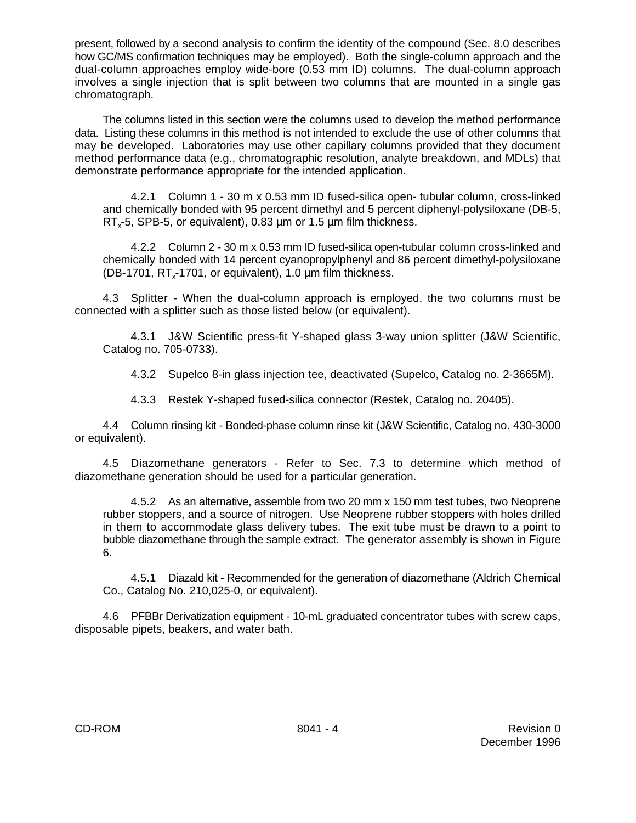present, followed by a second analysis to confirm the identity of the compound (Sec. 8.0 describes how GC/MS confirmation techniques may be employed). Both the single-column approach and the dual-column approaches employ wide-bore (0.53 mm ID) columns. The dual-column approach involves a single injection that is split between two columns that are mounted in a single gas chromatograph.

The columns listed in this section were the columns used to develop the method performance data. Listing these columns in this method is not intended to exclude the use of other columns that may be developed. Laboratories may use other capillary columns provided that they document method performance data (e.g., chromatographic resolution, analyte breakdown, and MDLs) that demonstrate performance appropriate for the intended application.

4.2.1 Column 1 - 30 m x 0.53 mm ID fused-silica open- tubular column, cross-linked and chemically bonded with 95 percent dimethyl and 5 percent diphenyl-polysiloxane (DB-5, RT<sub> $3$ </sub>-5, SPB-5, or equivalent), 0.83  $\mu$ m or 1.5  $\mu$ m film thickness.

4.2.2 Column 2 - 30 m x 0.53 mm ID fused-silica open-tubular column cross-linked and chemically bonded with 14 percent cyanopropylphenyl and 86 percent dimethyl-polysiloxane (DB-1701,  $RT_x$ -1701, or equivalent), 1.0  $\mu$ m film thickness.

4.3 Splitter - When the dual-column approach is employed, the two columns must be connected with a splitter such as those listed below (or equivalent).

4.3.1 J&W Scientific press-fit Y-shaped glass 3-way union splitter (J&W Scientific, Catalog no. 705-0733).

4.3.2 Supelco 8-in glass injection tee, deactivated (Supelco, Catalog no. 2-3665M).

4.3.3 Restek Y-shaped fused-silica connector (Restek, Catalog no. 20405).

4.4 Column rinsing kit - Bonded-phase column rinse kit (J&W Scientific, Catalog no. 430-3000 or equivalent).

4.5 Diazomethane generators - Refer to Sec. 7.3 to determine which method of diazomethane generation should be used for a particular generation.

4.5.2 As an alternative, assemble from two 20 mm x 150 mm test tubes, two Neoprene rubber stoppers, and a source of nitrogen. Use Neoprene rubber stoppers with holes drilled in them to accommodate glass delivery tubes. The exit tube must be drawn to a point to bubble diazomethane through the sample extract. The generator assembly is shown in Figure 6.

4.5.1 Diazald kit - Recommended for the generation of diazomethane (Aldrich Chemical Co., Catalog No. 210,025-0, or equivalent).

4.6 PFBBr Derivatization equipment - 10-mL graduated concentrator tubes with screw caps, disposable pipets, beakers, and water bath.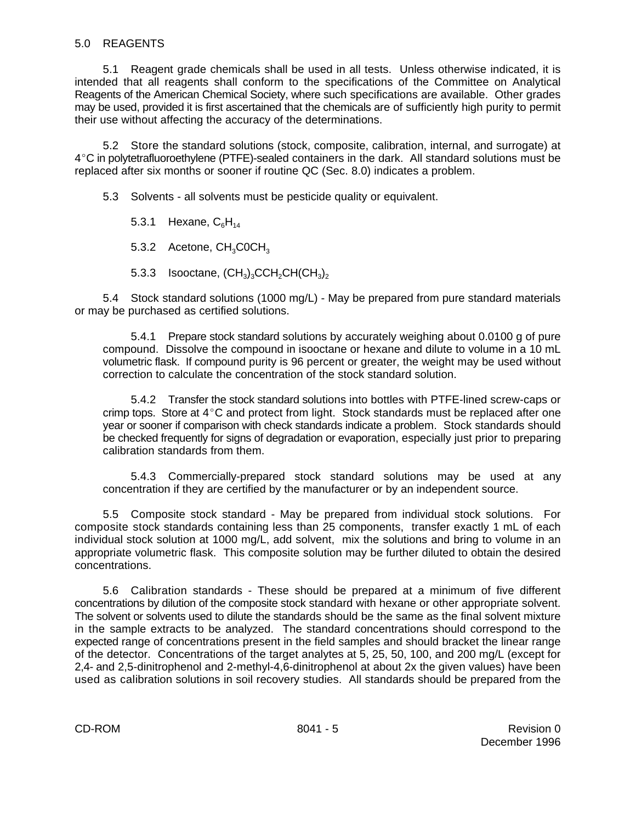## 5.0 REAGENTS

5.1 Reagent grade chemicals shall be used in all tests. Unless otherwise indicated, it is intended that all reagents shall conform to the specifications of the Committee on Analytical Reagents of the American Chemical Society, where such specifications are available. Other grades may be used, provided it is first ascertained that the chemicals are of sufficiently high purity to permit their use without affecting the accuracy of the determinations.

5.2 Store the standard solutions (stock, composite, calibration, internal, and surrogate) at  $4^{\circ}$ C in polytetrafluoroethylene (PTFE)-sealed containers in the dark. All standard solutions must be replaced after six months or sooner if routine QC (Sec. 8.0) indicates a problem.

5.3 Solvents - all solvents must be pesticide quality or equivalent.

5.3.1 Hexane,  $C_6H_{14}$ 

5.3.2 Acetone, CH<sub>3</sub>C0CH<sub>3</sub>

5.3.3 Isooctane,  $(CH_3)_3$ CCH<sub>2</sub>CH(CH<sub>3</sub>)<sub>2</sub>

5.4 Stock standard solutions (1000 mg/L) - May be prepared from pure standard materials or may be purchased as certified solutions.

5.4.1 Prepare stock standard solutions by accurately weighing about 0.0100 g of pure compound. Dissolve the compound in isooctane or hexane and dilute to volume in a 10 mL volumetric flask. If compound purity is 96 percent or greater, the weight may be used without correction to calculate the concentration of the stock standard solution.

5.4.2 Transfer the stock standard solutions into bottles with PTFE-lined screw-caps or crimp tops. Store at  $4^{\circ}$ C and protect from light. Stock standards must be replaced after one year or sooner if comparison with check standards indicate a problem. Stock standards should be checked frequently for signs of degradation or evaporation, especially just prior to preparing calibration standards from them.

5.4.3 Commercially-prepared stock standard solutions may be used at any concentration if they are certified by the manufacturer or by an independent source.

5.5 Composite stock standard - May be prepared from individual stock solutions. For composite stock standards containing less than 25 components, transfer exactly 1 mL of each individual stock solution at 1000 mg/L, add solvent, mix the solutions and bring to volume in an appropriate volumetric flask. This composite solution may be further diluted to obtain the desired concentrations.

5.6 Calibration standards - These should be prepared at a minimum of five different concentrations by dilution of the composite stock standard with hexane or other appropriate solvent. The solvent or solvents used to dilute the standards should be the same as the final solvent mixture in the sample extracts to be analyzed. The standard concentrations should correspond to the expected range of concentrations present in the field samples and should bracket the linear range of the detector. Concentrations of the target analytes at 5, 25, 50, 100, and 200 mg/L (except for 2,4- and 2,5-dinitrophenol and 2-methyl-4,6-dinitrophenol at about 2x the given values) have been used as calibration solutions in soil recovery studies. All standards should be prepared from the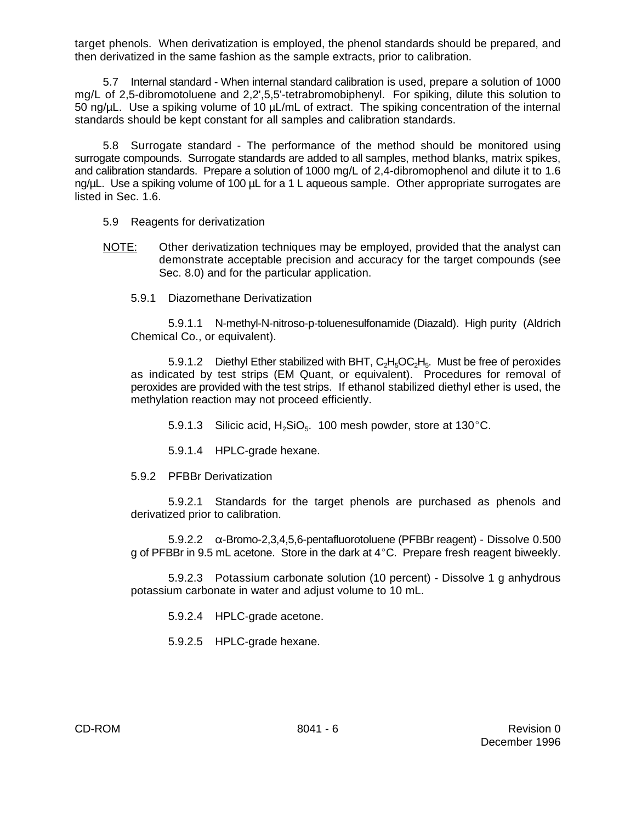target phenols. When derivatization is employed, the phenol standards should be prepared, and then derivatized in the same fashion as the sample extracts, prior to calibration.

5.7 Internal standard - When internal standard calibration is used, prepare a solution of 1000 mg/L of 2,5-dibromotoluene and 2,2',5,5'-tetrabromobiphenyl. For spiking, dilute this solution to 50 ng/ $\mu$ L. Use a spiking volume of 10  $\mu$ L/mL of extract. The spiking concentration of the internal standards should be kept constant for all samples and calibration standards.

5.8 Surrogate standard - The performance of the method should be monitored using surrogate compounds. Surrogate standards are added to all samples, method blanks, matrix spikes, and calibration standards. Prepare a solution of 1000 mg/L of 2,4-dibromophenol and dilute it to 1.6 ng/µL. Use a spiking volume of 100 µL for a 1 L aqueous sample. Other appropriate surrogates are listed in Sec. 1.6.

- 5.9 Reagents for derivatization
- NOTE: Other derivatization techniques may be employed, provided that the analyst can demonstrate acceptable precision and accuracy for the target compounds (see Sec. 8.0) and for the particular application.
	- 5.9.1 Diazomethane Derivatization

5.9.1.1 N-methyl-N-nitroso-p-toluenesulfonamide (Diazald). High purity (Aldrich Chemical Co., or equivalent).

5.9.1.2 Diethyl Ether stabilized with BHT,  $\mathsf{C_2H_5OC_2H_5}$ . Must be free of peroxides as indicated by test strips (EM Quant, or equivalent). Procedures for removal of peroxides are provided with the test strips. If ethanol stabilized diethyl ether is used, the methylation reaction may not proceed efficiently.

5.9.1.3 Silicic acid,  $H_2SiO_5$ . 100 mesh powder, store at 130 °C.

5.9.1.4 HPLC-grade hexane.

5.9.2 PFBBr Derivatization

5.9.2.1 Standards for the target phenols are purchased as phenols and derivatized prior to calibration.

 $5.9.2.2$   $\alpha$ -Bromo-2,3,4,5,6-pentafluorotoluene (PFBBr reagent) - Dissolve 0.500 g of PFBBr in 9.5 mL acetone. Store in the dark at  $4^{\circ}$ C. Prepare fresh reagent biweekly.

5.9.2.3 Potassium carbonate solution (10 percent) - Dissolve 1 g anhydrous potassium carbonate in water and adjust volume to 10 mL.

5.9.2.4 HPLC-grade acetone.

5.9.2.5 HPLC-grade hexane.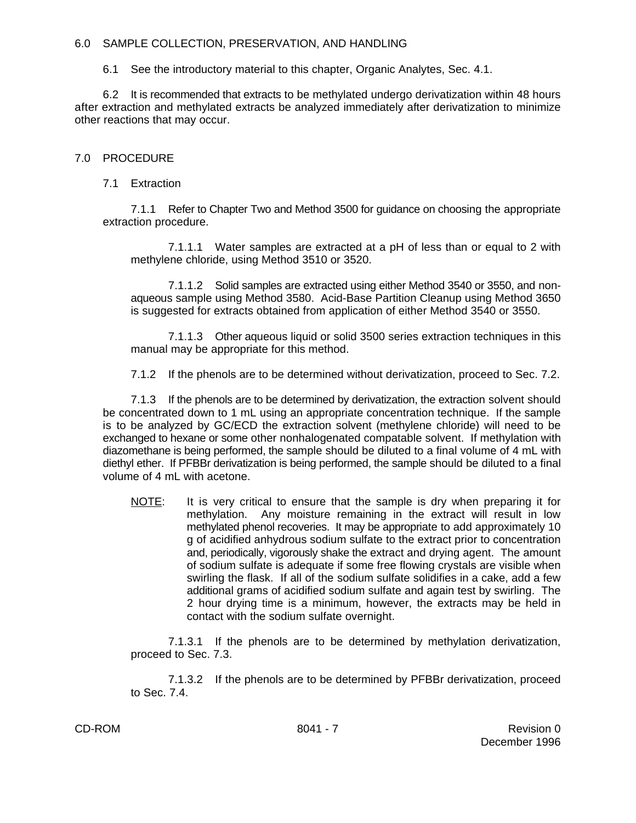## 6.0 SAMPLE COLLECTION, PRESERVATION, AND HANDLING

6.1 See the introductory material to this chapter, Organic Analytes, Sec. 4.1.

6.2 It is recommended that extracts to be methylated undergo derivatization within 48 hours after extraction and methylated extracts be analyzed immediately after derivatization to minimize other reactions that may occur.

# 7.0 PROCEDURE

# 7.1 Extraction

7.1.1 Refer to Chapter Two and Method 3500 for guidance on choosing the appropriate extraction procedure.

7.1.1.1 Water samples are extracted at a pH of less than or equal to 2 with methylene chloride, using Method 3510 or 3520.

7.1.1.2 Solid samples are extracted using either Method 3540 or 3550, and nonaqueous sample using Method 3580. Acid-Base Partition Cleanup using Method 3650 is suggested for extracts obtained from application of either Method 3540 or 3550.

7.1.1.3 Other aqueous liquid or solid 3500 series extraction techniques in this manual may be appropriate for this method.

7.1.2 If the phenols are to be determined without derivatization, proceed to Sec. 7.2.

7.1.3 If the phenols are to be determined by derivatization, the extraction solvent should be concentrated down to 1 mL using an appropriate concentration technique. If the sample is to be analyzed by GC/ECD the extraction solvent (methylene chloride) will need to be exchanged to hexane or some other nonhalogenated compatable solvent. If methylation with diazomethane is being performed, the sample should be diluted to a final volume of 4 mL with diethyl ether. If PFBBr derivatization is being performed, the sample should be diluted to a final volume of 4 mL with acetone.

NOTE: It is very critical to ensure that the sample is dry when preparing it for methylation. Any moisture remaining in the extract will result in low methylated phenol recoveries. It may be appropriate to add approximately 10 g of acidified anhydrous sodium sulfate to the extract prior to concentration and, periodically, vigorously shake the extract and drying agent. The amount of sodium sulfate is adequate if some free flowing crystals are visible when swirling the flask. If all of the sodium sulfate solidifies in a cake, add a few additional grams of acidified sodium sulfate and again test by swirling. The 2 hour drying time is a minimum, however, the extracts may be held in contact with the sodium sulfate overnight.

7.1.3.1 If the phenols are to be determined by methylation derivatization, proceed to Sec. 7.3.

7.1.3.2 If the phenols are to be determined by PFBBr derivatization, proceed to Sec. 7.4.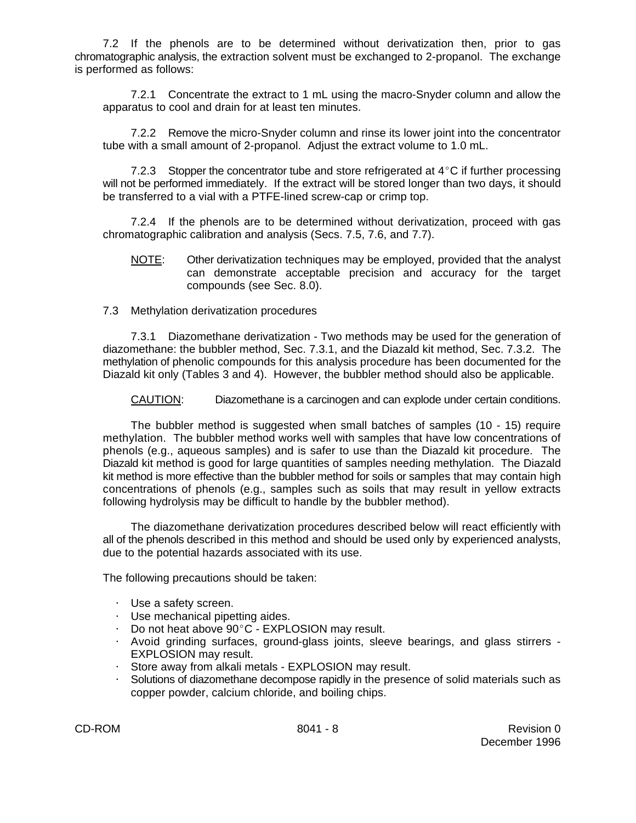7.2 If the phenols are to be determined without derivatization then, prior to gas chromatographic analysis, the extraction solvent must be exchanged to 2-propanol. The exchange is performed as follows:

7.2.1 Concentrate the extract to 1 mL using the macro-Snyder column and allow the apparatus to cool and drain for at least ten minutes.

7.2.2 Remove the micro-Snyder column and rinse its lower joint into the concentrator tube with a small amount of 2-propanol. Adjust the extract volume to 1.0 mL.

7.2.3 Stopper the concentrator tube and store refrigerated at  $4^{\circ}$ C if further processing will not be performed immediately. If the extract will be stored longer than two days, it should be transferred to a vial with a PTFE-lined screw-cap or crimp top.

7.2.4 If the phenols are to be determined without derivatization, proceed with gas chromatographic calibration and analysis (Secs. 7.5, 7.6, and 7.7).

- NOTE: Other derivatization techniques may be employed, provided that the analyst can demonstrate acceptable precision and accuracy for the target compounds (see Sec. 8.0).
- 7.3 Methylation derivatization procedures

7.3.1 Diazomethane derivatization - Two methods may be used for the generation of diazomethane: the bubbler method, Sec. 7.3.1, and the Diazald kit method, Sec. 7.3.2. The methylation of phenolic compounds for this analysis procedure has been documented for the Diazald kit only (Tables 3 and 4). However, the bubbler method should also be applicable.

CAUTION: Diazomethane is a carcinogen and can explode under certain conditions.

The bubbler method is suggested when small batches of samples (10 - 15) require methylation. The bubbler method works well with samples that have low concentrations of phenols (e.g., aqueous samples) and is safer to use than the Diazald kit procedure. The Diazald kit method is good for large quantities of samples needing methylation. The Diazald kit method is more effective than the bubbler method for soils or samples that may contain high concentrations of phenols (e.g., samples such as soils that may result in yellow extracts following hydrolysis may be difficult to handle by the bubbler method).

The diazomethane derivatization procedures described below will react efficiently with all of the phenols described in this method and should be used only by experienced analysts, due to the potential hazards associated with its use.

The following precautions should be taken:

- $\cdot$  Use a safety screen.
- $\cdot$  Use mechanical pipetting aides.
- $\cdot$  Do not heat above 90°C EXPLOSION may result.
- @ Avoid grinding surfaces, ground-glass joints, sleeve bearings, and glass stirrers EXPLOSION may result.
- Store away from alkali metals EXPLOSION may result.
- Solutions of diazomethane decompose rapidly in the presence of solid materials such as copper powder, calcium chloride, and boiling chips.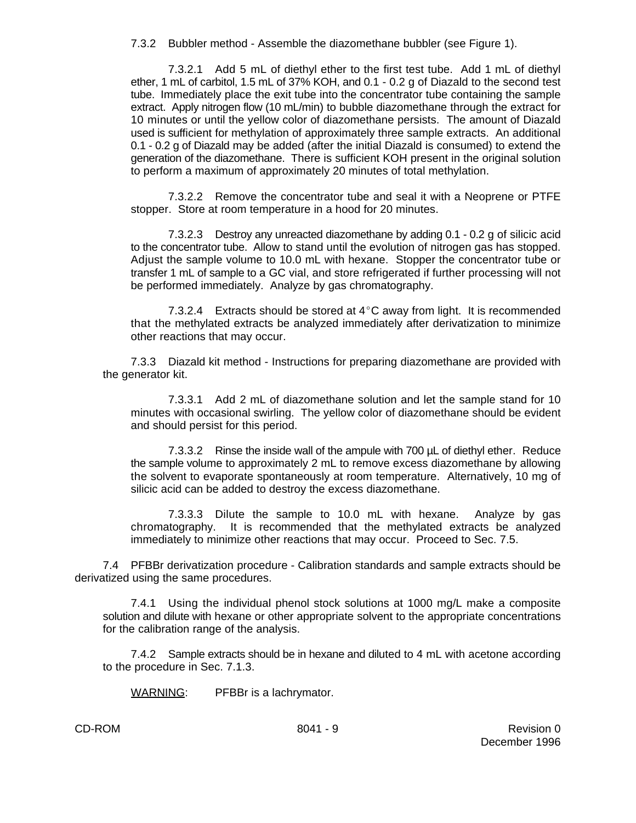7.3.2 Bubbler method - Assemble the diazomethane bubbler (see Figure 1).

7.3.2.1 Add 5 mL of diethyl ether to the first test tube. Add 1 mL of diethyl ether, 1 mL of carbitol, 1.5 mL of 37% KOH, and 0.1 - 0.2 g of Diazald to the second test tube. Immediately place the exit tube into the concentrator tube containing the sample extract. Apply nitrogen flow (10 mL/min) to bubble diazomethane through the extract for 10 minutes or until the yellow color of diazomethane persists. The amount of Diazald used is sufficient for methylation of approximately three sample extracts. An additional 0.1 - 0.2 g of Diazald may be added (after the initial Diazald is consumed) to extend the generation of the diazomethane. There is sufficient KOH present in the original solution to perform a maximum of approximately 20 minutes of total methylation.

7.3.2.2 Remove the concentrator tube and seal it with a Neoprene or PTFE stopper. Store at room temperature in a hood for 20 minutes.

7.3.2.3 Destroy any unreacted diazomethane by adding 0.1 - 0.2 g of silicic acid to the concentrator tube. Allow to stand until the evolution of nitrogen gas has stopped. Adjust the sample volume to 10.0 mL with hexane. Stopper the concentrator tube or transfer 1 mL of sample to a GC vial, and store refrigerated if further processing will not be performed immediately. Analyze by gas chromatography.

7.3.2.4 Extracts should be stored at  $4^{\circ}$ C away from light. It is recommended that the methylated extracts be analyzed immediately after derivatization to minimize other reactions that may occur.

7.3.3 Diazald kit method - Instructions for preparing diazomethane are provided with the generator kit.

7.3.3.1 Add 2 mL of diazomethane solution and let the sample stand for 10 minutes with occasional swirling. The yellow color of diazomethane should be evident and should persist for this period.

7.3.3.2 Rinse the inside wall of the ampule with 700 µL of diethyl ether. Reduce the sample volume to approximately 2 mL to remove excess diazomethane by allowing the solvent to evaporate spontaneously at room temperature. Alternatively, 10 mg of silicic acid can be added to destroy the excess diazomethane.

7.3.3.3 Dilute the sample to 10.0 mL with hexane. Analyze by gas chromatography. It is recommended that the methylated extracts be analyzed immediately to minimize other reactions that may occur. Proceed to Sec. 7.5.

7.4 PFBBr derivatization procedure - Calibration standards and sample extracts should be derivatized using the same procedures.

7.4.1 Using the individual phenol stock solutions at 1000 mg/L make a composite solution and dilute with hexane or other appropriate solvent to the appropriate concentrations for the calibration range of the analysis.

7.4.2 Sample extracts should be in hexane and diluted to 4 mL with acetone according to the procedure in Sec. 7.1.3.

WARNING: PFBBr is a lachrymator.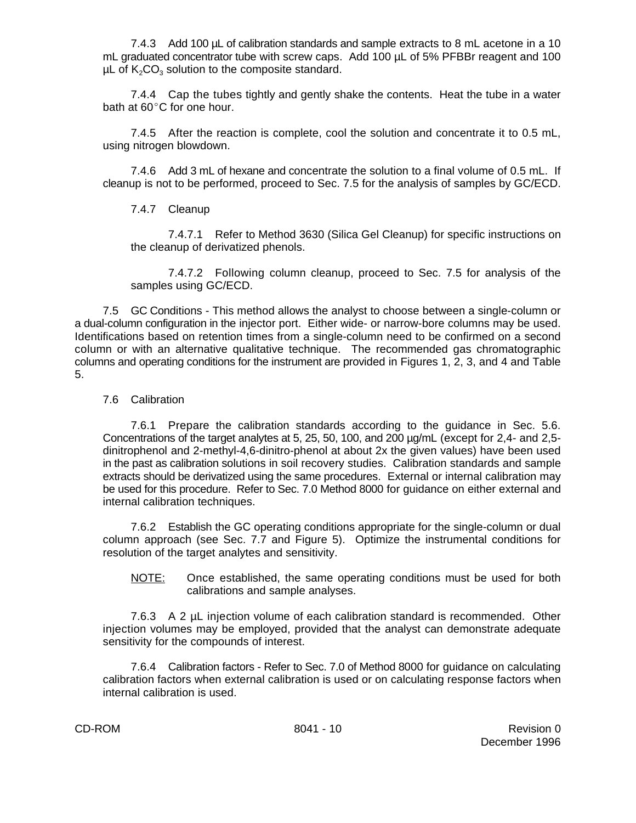7.4.3 Add 100 µL of calibration standards and sample extracts to 8 mL acetone in a 10 mL graduated concentrator tube with screw caps. Add 100 µL of 5% PFBBr reagent and 100  $\mu$ L of K<sub>2</sub>CO<sub>3</sub> solution to the composite standard.

7.4.4 Cap the tubes tightly and gently shake the contents. Heat the tube in a water bath at  $60^{\circ}$ C for one hour.

7.4.5 After the reaction is complete, cool the solution and concentrate it to 0.5 mL, using nitrogen blowdown.

7.4.6 Add 3 mL of hexane and concentrate the solution to a final volume of 0.5 mL. If cleanup is not to be performed, proceed to Sec. 7.5 for the analysis of samples by GC/ECD.

## 7.4.7 Cleanup

7.4.7.1 Refer to Method 3630 (Silica Gel Cleanup) for specific instructions on the cleanup of derivatized phenols.

7.4.7.2 Following column cleanup, proceed to Sec. 7.5 for analysis of the samples using GC/ECD.

7.5 GC Conditions - This method allows the analyst to choose between a single-column or a dual-column configuration in the injector port. Either wide- or narrow-bore columns may be used. Identifications based on retention times from a single-column need to be confirmed on a second column or with an alternative qualitative technique. The recommended gas chromatographic columns and operating conditions for the instrument are provided in Figures 1, 2, 3, and 4 and Table 5.

## 7.6 Calibration

7.6.1 Prepare the calibration standards according to the guidance in Sec. 5.6. Concentrations of the target analytes at 5, 25, 50, 100, and 200 µg/mL (except for 2,4- and 2,5 dinitrophenol and 2-methyl-4,6-dinitro-phenol at about 2x the given values) have been used in the past as calibration solutions in soil recovery studies. Calibration standards and sample extracts should be derivatized using the same procedures. External or internal calibration may be used for this procedure. Refer to Sec. 7.0 Method 8000 for guidance on either external and internal calibration techniques.

7.6.2 Establish the GC operating conditions appropriate for the single-column or dual column approach (see Sec. 7.7 and Figure 5). Optimize the instrumental conditions for resolution of the target analytes and sensitivity.

#### NOTE: Once established, the same operating conditions must be used for both calibrations and sample analyses.

7.6.3 A 2 µL injection volume of each calibration standard is recommended. Other injection volumes may be employed, provided that the analyst can demonstrate adequate sensitivity for the compounds of interest.

7.6.4 Calibration factors - Refer to Sec. 7.0 of Method 8000 for guidance on calculating calibration factors when external calibration is used or on calculating response factors when internal calibration is used.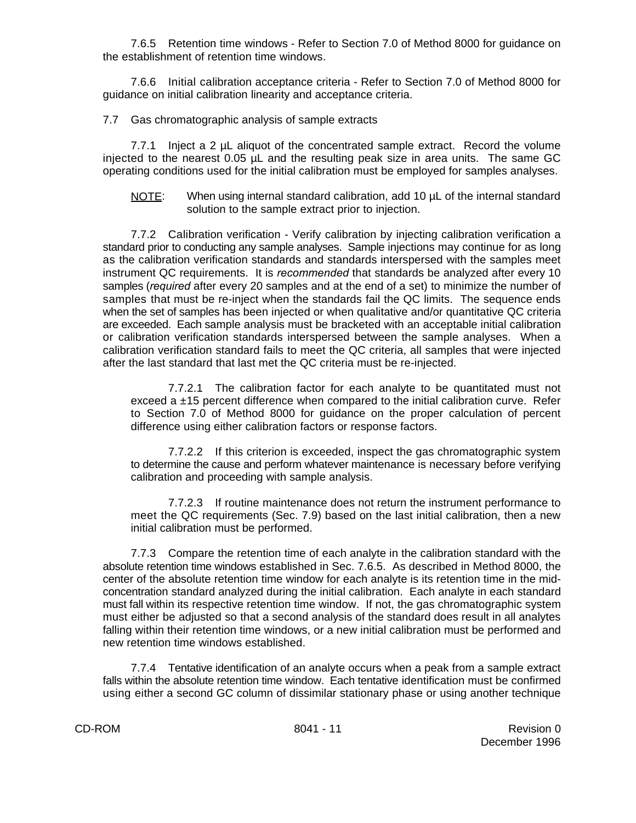7.6.5 Retention time windows - Refer to Section 7.0 of Method 8000 for guidance on the establishment of retention time windows.

7.6.6 Initial calibration acceptance criteria - Refer to Section 7.0 of Method 8000 for guidance on initial calibration linearity and acceptance criteria.

## 7.7 Gas chromatographic analysis of sample extracts

7.7.1 Inject a 2 µL aliquot of the concentrated sample extract. Record the volume injected to the nearest 0.05 µL and the resulting peak size in area units. The same GC operating conditions used for the initial calibration must be employed for samples analyses.

### NOTE: When using internal standard calibration, add 10 µL of the internal standard solution to the sample extract prior to injection.

7.7.2 Calibration verification - Verify calibration by injecting calibration verification a standard prior to conducting any sample analyses. Sample injections may continue for as long as the calibration verification standards and standards interspersed with the samples meet instrument QC requirements. It is *recommended* that standards be analyzed after every 10 samples (*required* after every 20 samples and at the end of a set) to minimize the number of samples that must be re-inject when the standards fail the QC limits. The sequence ends when the set of samples has been injected or when qualitative and/or quantitative QC criteria are exceeded. Each sample analysis must be bracketed with an acceptable initial calibration or calibration verification standards interspersed between the sample analyses. When a calibration verification standard fails to meet the QC criteria, all samples that were injected after the last standard that last met the QC criteria must be re-injected.

7.7.2.1 The calibration factor for each analyte to be quantitated must not exceed a ±15 percent difference when compared to the initial calibration curve. Refer to Section 7.0 of Method 8000 for guidance on the proper calculation of percent difference using either calibration factors or response factors.

7.7.2.2 If this criterion is exceeded, inspect the gas chromatographic system to determine the cause and perform whatever maintenance is necessary before verifying calibration and proceeding with sample analysis.

7.7.2.3 If routine maintenance does not return the instrument performance to meet the QC requirements (Sec. 7.9) based on the last initial calibration, then a new initial calibration must be performed.

7.7.3 Compare the retention time of each analyte in the calibration standard with the absolute retention time windows established in Sec. 7.6.5. As described in Method 8000, the center of the absolute retention time window for each analyte is its retention time in the midconcentration standard analyzed during the initial calibration. Each analyte in each standard must fall within its respective retention time window. If not, the gas chromatographic system must either be adjusted so that a second analysis of the standard does result in all analytes falling within their retention time windows, or a new initial calibration must be performed and new retention time windows established.

7.7.4 Tentative identification of an analyte occurs when a peak from a sample extract falls within the absolute retention time window. Each tentative identification must be confirmed using either a second GC column of dissimilar stationary phase or using another technique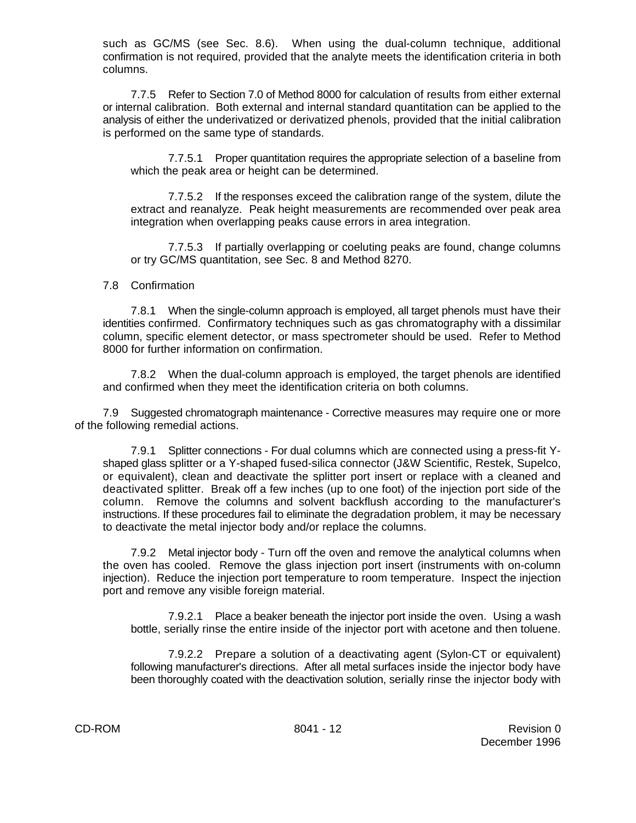such as GC/MS (see Sec. 8.6). When using the dual-column technique, additional confirmation is not required, provided that the analyte meets the identification criteria in both columns.

7.7.5 Refer to Section 7.0 of Method 8000 for calculation of results from either external or internal calibration. Both external and internal standard quantitation can be applied to the analysis of either the underivatized or derivatized phenols, provided that the initial calibration is performed on the same type of standards.

7.7.5.1 Proper quantitation requires the appropriate selection of a baseline from which the peak area or height can be determined.

7.7.5.2 If the responses exceed the calibration range of the system, dilute the extract and reanalyze. Peak height measurements are recommended over peak area integration when overlapping peaks cause errors in area integration.

7.7.5.3 If partially overlapping or coeluting peaks are found, change columns or try GC/MS quantitation, see Sec. 8 and Method 8270.

## 7.8 Confirmation

7.8.1 When the single-column approach is employed, all target phenols must have their identities confirmed. Confirmatory techniques such as gas chromatography with a dissimilar column, specific element detector, or mass spectrometer should be used. Refer to Method 8000 for further information on confirmation.

7.8.2 When the dual-column approach is employed, the target phenols are identified and confirmed when they meet the identification criteria on both columns.

7.9 Suggested chromatograph maintenance - Corrective measures may require one or more of the following remedial actions.

7.9.1 Splitter connections - For dual columns which are connected using a press-fit Yshaped glass splitter or a Y-shaped fused-silica connector (J&W Scientific, Restek, Supelco, or equivalent), clean and deactivate the splitter port insert or replace with a cleaned and deactivated splitter. Break off a few inches (up to one foot) of the injection port side of the column. Remove the columns and solvent backflush according to the manufacturer's instructions. If these procedures fail to eliminate the degradation problem, it may be necessary to deactivate the metal injector body and/or replace the columns.

7.9.2 Metal injector body - Turn off the oven and remove the analytical columns when the oven has cooled. Remove the glass injection port insert (instruments with on-column injection). Reduce the injection port temperature to room temperature. Inspect the injection port and remove any visible foreign material.

7.9.2.1 Place a beaker beneath the injector port inside the oven. Using a wash bottle, serially rinse the entire inside of the injector port with acetone and then toluene.

7.9.2.2 Prepare a solution of a deactivating agent (Sylon-CT or equivalent) following manufacturer's directions. After all metal surfaces inside the injector body have been thoroughly coated with the deactivation solution, serially rinse the injector body with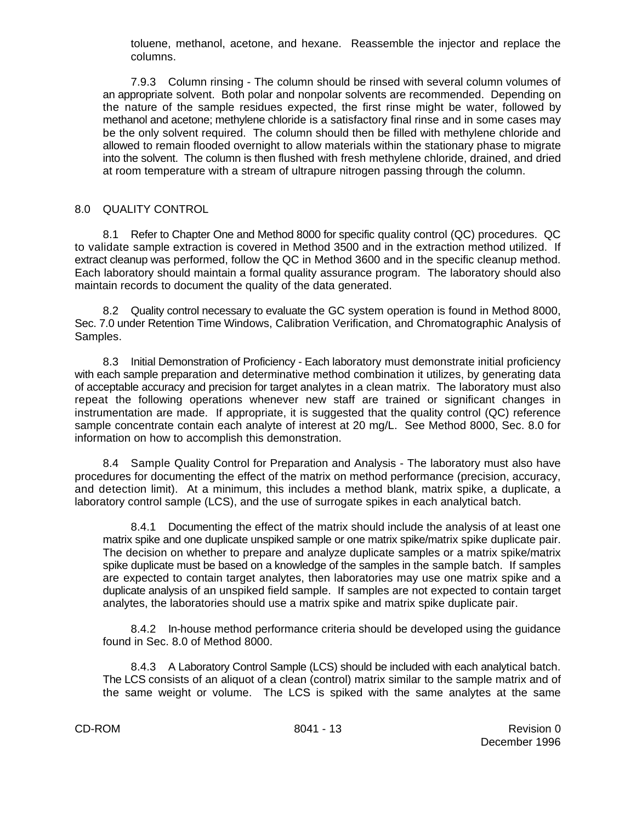toluene, methanol, acetone, and hexane. Reassemble the injector and replace the columns.

7.9.3 Column rinsing - The column should be rinsed with several column volumes of an appropriate solvent. Both polar and nonpolar solvents are recommended. Depending on the nature of the sample residues expected, the first rinse might be water, followed by methanol and acetone; methylene chloride is a satisfactory final rinse and in some cases may be the only solvent required. The column should then be filled with methylene chloride and allowed to remain flooded overnight to allow materials within the stationary phase to migrate into the solvent. The column is then flushed with fresh methylene chloride, drained, and dried at room temperature with a stream of ultrapure nitrogen passing through the column.

# 8.0 QUALITY CONTROL

8.1 Refer to Chapter One and Method 8000 for specific quality control (QC) procedures. QC to validate sample extraction is covered in Method 3500 and in the extraction method utilized. If extract cleanup was performed, follow the QC in Method 3600 and in the specific cleanup method. Each laboratory should maintain a formal quality assurance program. The laboratory should also maintain records to document the quality of the data generated.

8.2 Quality control necessary to evaluate the GC system operation is found in Method 8000, Sec. 7.0 under Retention Time Windows, Calibration Verification, and Chromatographic Analysis of Samples.

8.3 Initial Demonstration of Proficiency - Each laboratory must demonstrate initial proficiency with each sample preparation and determinative method combination it utilizes, by generating data of acceptable accuracy and precision for target analytes in a clean matrix. The laboratory must also repeat the following operations whenever new staff are trained or significant changes in instrumentation are made. If appropriate, it is suggested that the quality control (QC) reference sample concentrate contain each analyte of interest at 20 mg/L. See Method 8000, Sec. 8.0 for information on how to accomplish this demonstration.

8.4 Sample Quality Control for Preparation and Analysis - The laboratory must also have procedures for documenting the effect of the matrix on method performance (precision, accuracy, and detection limit). At a minimum, this includes a method blank, matrix spike, a duplicate, a laboratory control sample (LCS), and the use of surrogate spikes in each analytical batch.

8.4.1 Documenting the effect of the matrix should include the analysis of at least one matrix spike and one duplicate unspiked sample or one matrix spike/matrix spike duplicate pair. The decision on whether to prepare and analyze duplicate samples or a matrix spike/matrix spike duplicate must be based on a knowledge of the samples in the sample batch. If samples are expected to contain target analytes, then laboratories may use one matrix spike and a duplicate analysis of an unspiked field sample. If samples are not expected to contain target analytes, the laboratories should use a matrix spike and matrix spike duplicate pair.

8.4.2 In-house method performance criteria should be developed using the guidance found in Sec. 8.0 of Method 8000.

8.4.3 A Laboratory Control Sample (LCS) should be included with each analytical batch. The LCS consists of an aliquot of a clean (control) matrix similar to the sample matrix and of the same weight or volume. The LCS is spiked with the same analytes at the same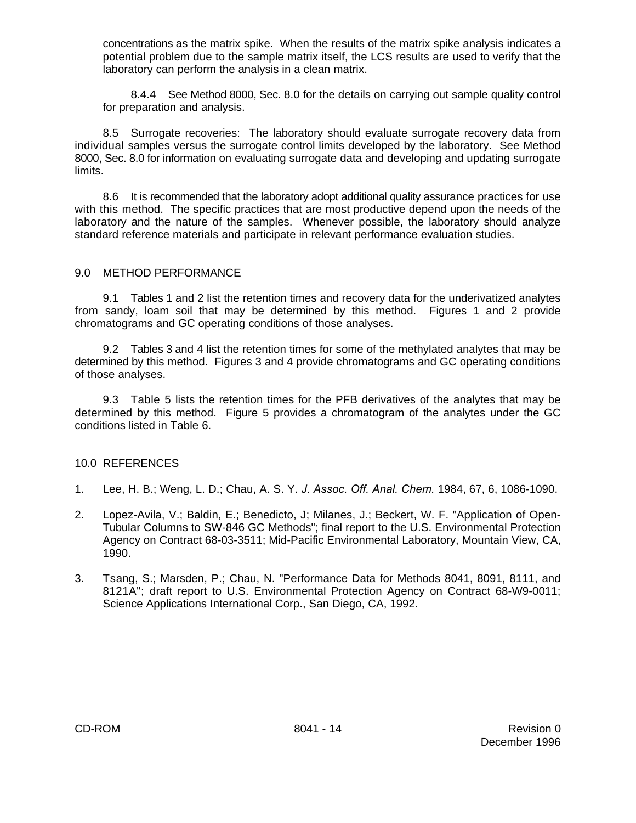concentrations as the matrix spike. When the results of the matrix spike analysis indicates a potential problem due to the sample matrix itself, the LCS results are used to verify that the laboratory can perform the analysis in a clean matrix.

8.4.4 See Method 8000, Sec. 8.0 for the details on carrying out sample quality control for preparation and analysis.

8.5 Surrogate recoveries: The laboratory should evaluate surrogate recovery data from individual samples versus the surrogate control limits developed by the laboratory. See Method 8000, Sec. 8.0 for information on evaluating surrogate data and developing and updating surrogate limits.

8.6 It is recommended that the laboratory adopt additional quality assurance practices for use with this method. The specific practices that are most productive depend upon the needs of the laboratory and the nature of the samples. Whenever possible, the laboratory should analyze standard reference materials and participate in relevant performance evaluation studies.

## 9.0 METHOD PERFORMANCE

9.1 Tables 1 and 2 list the retention times and recovery data for the underivatized analytes from sandy, loam soil that may be determined by this method. Figures 1 and 2 provide chromatograms and GC operating conditions of those analyses.

9.2 Tables 3 and 4 list the retention times for some of the methylated analytes that may be determined by this method. Figures 3 and 4 provide chromatograms and GC operating conditions of those analyses.

9.3 Table 5 lists the retention times for the PFB derivatives of the analytes that may be determined by this method. Figure 5 provides a chromatogram of the analytes under the GC conditions listed in Table 6.

# 10.0 REFERENCES

- 1. Lee, H. B.; Weng, L. D.; Chau, A. S. Y. *J. Assoc. Off. Anal. Chem.* 1984, 67, 6, 1086-1090.
- 2. Lopez-Avila, V.; Baldin, E.; Benedicto, J; Milanes, J.; Beckert, W. F. "Application of Open-Tubular Columns to SW-846 GC Methods"; final report to the U.S. Environmental Protection Agency on Contract 68-03-3511; Mid-Pacific Environmental Laboratory, Mountain View, CA, 1990.
- 3. Tsang, S.; Marsden, P.; Chau, N. "Performance Data for Methods 8041, 8091, 8111, and 8121A"; draft report to U.S. Environmental Protection Agency on Contract 68-W9-0011; Science Applications International Corp., San Diego, CA, 1992.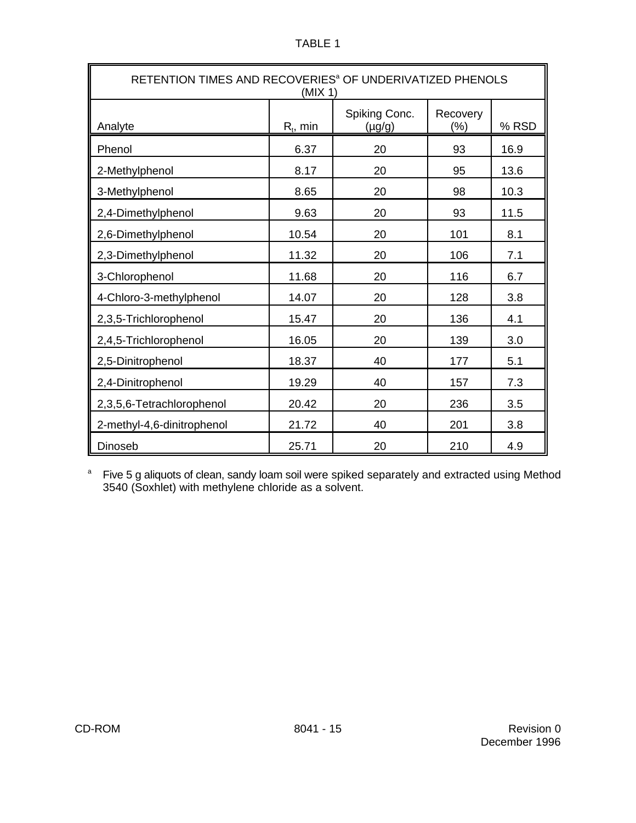|--|--|

| RETENTION TIMES AND RECOVERIES <sup>®</sup> OF UNDERIVATIZED PHENOLS<br>(MIX 1) |             |                              |                     |       |
|---------------------------------------------------------------------------------|-------------|------------------------------|---------------------|-------|
| Analyte                                                                         | $R_t$ , min | Spiking Conc.<br>$(\mu g/g)$ | Recovery<br>$(\% )$ | % RSD |
| Phenol                                                                          | 6.37        | 20                           | 93                  | 16.9  |
| 2-Methylphenol                                                                  | 8.17        | 20                           | 95                  | 13.6  |
| 3-Methylphenol                                                                  | 8.65        | 20                           | 98                  | 10.3  |
| 2,4-Dimethylphenol                                                              | 9.63        | 20                           | 93                  | 11.5  |
| 2,6-Dimethylphenol                                                              | 10.54       | 20                           | 101                 | 8.1   |
| 2,3-Dimethylphenol                                                              | 11.32       | 20                           | 106                 | 7.1   |
| 3-Chlorophenol                                                                  | 11.68       | 20                           | 116                 | 6.7   |
| 4-Chloro-3-methylphenol                                                         | 14.07       | 20                           | 128                 | 3.8   |
| 2,3,5-Trichlorophenol                                                           | 15.47       | 20                           | 136                 | 4.1   |
| 2,4,5-Trichlorophenol                                                           | 16.05       | 20                           | 139                 | 3.0   |
| 2,5-Dinitrophenol                                                               | 18.37       | 40                           | 177                 | 5.1   |
| 2,4-Dinitrophenol                                                               | 19.29       | 40                           | 157                 | 7.3   |
| 2,3,5,6-Tetrachlorophenol                                                       | 20.42       | 20                           | 236                 | 3.5   |
| 2-methyl-4,6-dinitrophenol                                                      | 21.72       | 40                           | 201                 | 3.8   |
| 25.71<br>20<br>210<br><b>Dinoseb</b><br>4.9                                     |             |                              |                     |       |

<sup>a</sup> Five 5 g aliquots of clean, sandy loam soil were spiked separately and extracted using Method 3540 (Soxhlet) with methylene chloride as a solvent.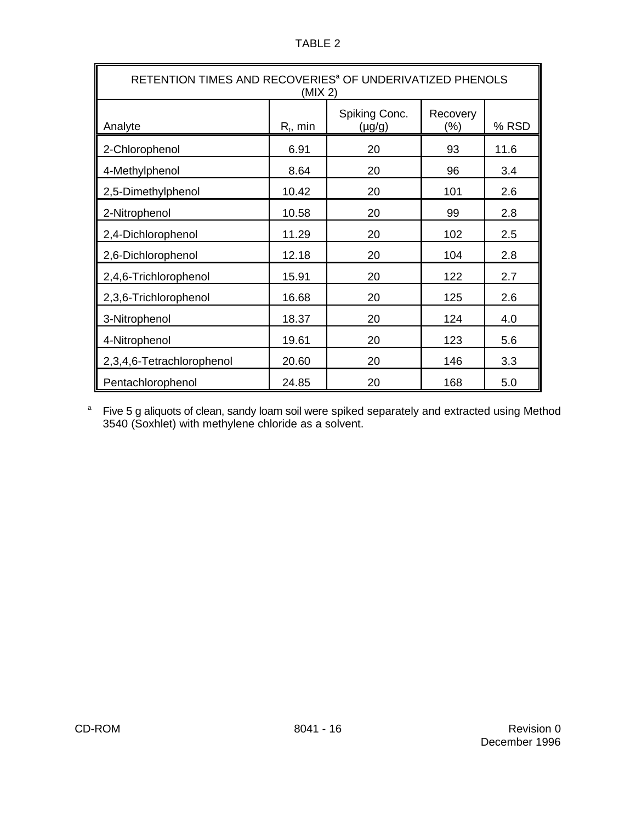| u. |  |
|----|--|
|    |  |

| RETENTION TIMES AND RECOVERIES <sup>a</sup> OF UNDERIVATIZED PHENOLS<br>(MIX 2) |             |                              |                 |       |
|---------------------------------------------------------------------------------|-------------|------------------------------|-----------------|-------|
| Analyte                                                                         | $R_t$ , min | Spiking Conc.<br>$(\mu g/g)$ | Recovery<br>(%) | % RSD |
| 2-Chlorophenol                                                                  | 6.91        | 20                           | 93              | 11.6  |
| 4-Methylphenol                                                                  | 8.64        | 20                           | 96              | 3.4   |
| 2,5-Dimethylphenol                                                              | 10.42       | 20                           | 101             | 2.6   |
| 2-Nitrophenol                                                                   | 10.58       | 20                           | 99              | 2.8   |
| 2,4-Dichlorophenol                                                              | 11.29       | 20                           | 102             | 2.5   |
| 2,6-Dichlorophenol                                                              | 12.18       | 20                           | 104             | 2.8   |
| 2,4,6-Trichlorophenol                                                           | 15.91       | 20                           | 122             | 2.7   |
| 2,3,6-Trichlorophenol                                                           | 16.68       | 20                           | 125             | 2.6   |
| 3-Nitrophenol                                                                   | 18.37       | 20                           | 124             | 4.0   |
| 4-Nitrophenol                                                                   | 19.61       | 20                           | 123             | 5.6   |
| 2,3,4,6-Tetrachlorophenol                                                       | 20.60       | 20                           | 146             | 3.3   |
| Pentachlorophenol                                                               | 24.85       | 20                           | 168             | 5.0   |

<sup>a</sup> Five 5 g aliquots of clean, sandy loam soil were spiked separately and extracted using Method 3540 (Soxhlet) with methylene chloride as a solvent.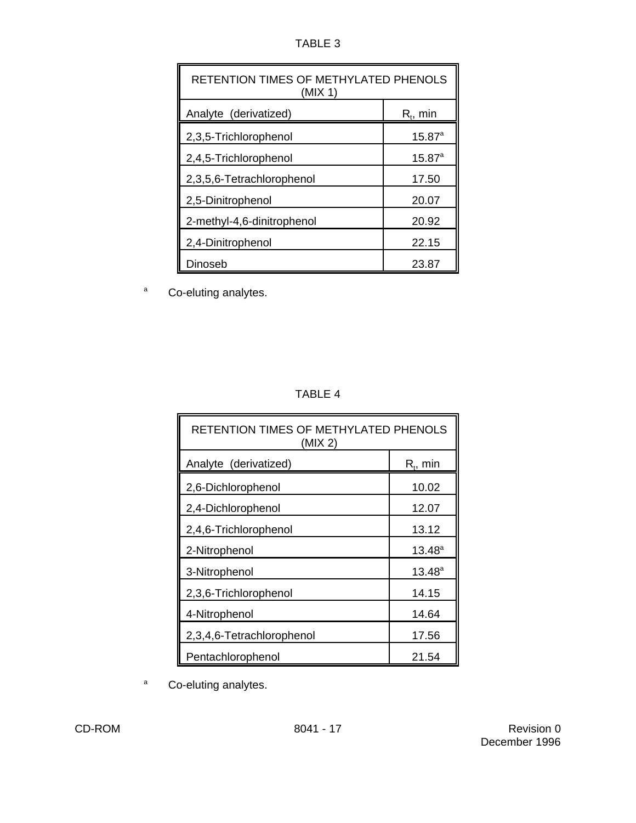| U<br>▫<br>L |  |
|-------------|--|
|-------------|--|

| RETENTION TIMES OF METHYLATED PHENOLS<br>(MIX 1) |                 |  |
|--------------------------------------------------|-----------------|--|
| Analyte (derivatized)                            | $R_{i}$ , min   |  |
| 2,3,5-Trichlorophenol                            | $15.87^{a}$     |  |
| 2,4,5-Trichlorophenol                            | $15.87^{\circ}$ |  |
| 2,3,5,6-Tetrachlorophenol                        | 17.50           |  |
| 2,5-Dinitrophenol                                | 20.07           |  |
| 2-methyl-4,6-dinitrophenol                       | 20.92           |  |
| 2,4-Dinitrophenol                                | 22.15           |  |
| Dinoseb                                          | 23.87           |  |

a Co-eluting analytes.

|--|--|

| RETENTION TIMES OF METHYLATED PHENOLS<br>(MIX 2) |                 |  |
|--------------------------------------------------|-----------------|--|
| Analyte (derivatized)                            | $R_t$ , min     |  |
| 2,6-Dichlorophenol                               | 10.02           |  |
| 2,4-Dichlorophenol                               | 12.07           |  |
| 2,4,6-Trichlorophenol                            | 13.12           |  |
| 2-Nitrophenol                                    | $13.48^{\circ}$ |  |
| 3-Nitrophenol                                    | $13.48^{a}$     |  |
| 2,3,6-Trichlorophenol                            | 14.15           |  |
| 4-Nitrophenol                                    | 14.64           |  |
| 2,3,4,6-Tetrachlorophenol                        | 17.56           |  |
| Pentachlorophenol                                | 21.54           |  |

a Co-eluting analytes.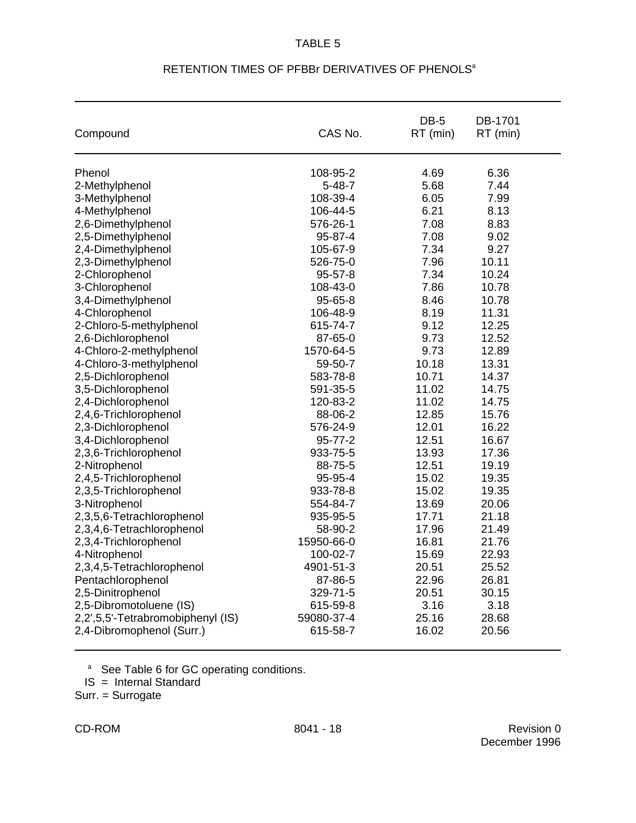## TABLE 5

| Compound                          | CAS No.      | DB-5<br>RT (min) | DB-1701<br>RT (min) |
|-----------------------------------|--------------|------------------|---------------------|
| Phenol                            | 108-95-2     | 4.69             | 6.36                |
| 2-Methylphenol                    | $5 - 48 - 7$ | 5.68             | 7.44                |
| 3-Methylphenol                    | 108-39-4     | 6.05             | 7.99                |
| 4-Methylphenol                    | 106-44-5     | 6.21             | 8.13                |
| 2,6-Dimethylphenol                | 576-26-1     | 7.08             | 8.83                |
| 2,5-Dimethylphenol                | 95-87-4      | 7.08             | 9.02                |
| 2,4-Dimethylphenol                | 105-67-9     | 7.34             | 9.27                |
| 2,3-Dimethylphenol                | 526-75-0     | 7.96             | 10.11               |
| 2-Chlorophenol                    | 95-57-8      | 7.34             | 10.24               |
| 3-Chlorophenol                    | 108-43-0     | 7.86             | 10.78               |
| 3,4-Dimethylphenol                | 95-65-8      | 8.46             | 10.78               |
| 4-Chlorophenol                    | 106-48-9     | 8.19             | 11.31               |
| 2-Chloro-5-methylphenol           | 615-74-7     | 9.12             | 12.25               |
| 2,6-Dichlorophenol                | 87-65-0      | 9.73             | 12.52               |
| 4-Chloro-2-methylphenol           | 1570-64-5    | 9.73             | 12.89               |
| 4-Chloro-3-methylphenol           | 59-50-7      | 10.18            | 13.31               |
| 2,5-Dichlorophenol                | 583-78-8     | 10.71            | 14.37               |
| 3,5-Dichlorophenol                | 591-35-5     | 11.02            | 14.75               |
| 2,4-Dichlorophenol                | 120-83-2     | 11.02            | 14.75               |
| 2,4,6-Trichlorophenol             | 88-06-2      | 12.85            | 15.76               |
| 2,3-Dichlorophenol                | 576-24-9     | 12.01            | 16.22               |
| 3,4-Dichlorophenol                | 95-77-2      | 12.51            | 16.67               |
| 2,3,6-Trichlorophenol             | 933-75-5     | 13.93            | 17.36               |
| 2-Nitrophenol                     | 88-75-5      | 12.51            | 19.19               |
| 2,4,5-Trichlorophenol             | 95-95-4      | 15.02            | 19.35               |
| 2,3,5-Trichlorophenol             | 933-78-8     | 15.02            | 19.35               |
| 3-Nitrophenol                     | 554-84-7     | 13.69            | 20.06               |
| 2,3,5,6-Tetrachlorophenol         | 935-95-5     | 17.71            | 21.18               |
| 2,3,4,6-Tetrachlorophenol         | 58-90-2      | 17.96            | 21.49               |
| 2,3,4-Trichlorophenol             | 15950-66-0   | 16.81            | 21.76               |
| 4-Nitrophenol                     | 100-02-7     | 15.69            | 22.93               |
| 2,3,4,5-Tetrachlorophenol         | 4901-51-3    | 20.51            | 25.52               |
| Pentachlorophenol                 | 87-86-5      | 22.96            | 26.81               |
| 2,5-Dinitrophenol                 | 329-71-5     | 20.51            | 30.15               |
| 2,5-Dibromotoluene (IS)           | 615-59-8     | 3.16             | 3.18                |
| 2,2',5,5'-Tetrabromobiphenyl (IS) | 59080-37-4   | 25.16            | 28.68               |
| 2,4-Dibromophenol (Surr.)         | 615-58-7     | 16.02            | 20.56               |

# RETENTION TIMES OF PFBBr DERIVATIVES OF PHENOLS<sup>a</sup>

<sup>a</sup> See Table 6 for GC operating conditions.

IS = Internal Standard

Surr. = Surrogate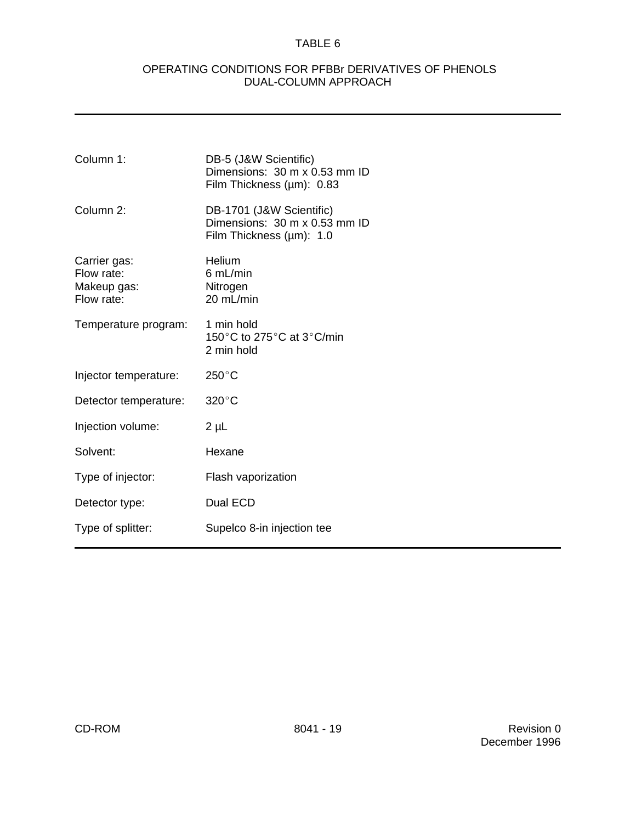# TABLE 6

## OPERATING CONDITIONS FOR PFBBr DERIVATIVES OF PHENOLS DUAL-COLUMN APPROACH

| Column 1:                                               | DB-5 (J&W Scientific)<br>Dimensions: 30 m x 0.53 mm ID<br>Film Thickness (µm): 0.83   |
|---------------------------------------------------------|---------------------------------------------------------------------------------------|
| Column 2:                                               | DB-1701 (J&W Scientific)<br>Dimensions: 30 m x 0.53 mm ID<br>Film Thickness (µm): 1.0 |
| Carrier gas:<br>Flow rate:<br>Makeup gas:<br>Flow rate: | <b>Helium</b><br>$6$ mL/min<br>Nitrogen<br>20 mL/min                                  |
| Temperature program:                                    | 1 min hold<br>150°C to 275°C at 3°C/min<br>2 min hold                                 |
| Injector temperature:                                   | $250^{\circ}$ C                                                                       |
| Detector temperature:                                   | $320^{\circ}$ C                                                                       |
| Injection volume:                                       | $2 \mu L$                                                                             |
| Solvent:                                                | Hexane                                                                                |
| Type of injector:                                       | Flash vaporization                                                                    |
| Detector type:                                          | Dual ECD                                                                              |
| Type of splitter:                                       | Supelco 8-in injection tee                                                            |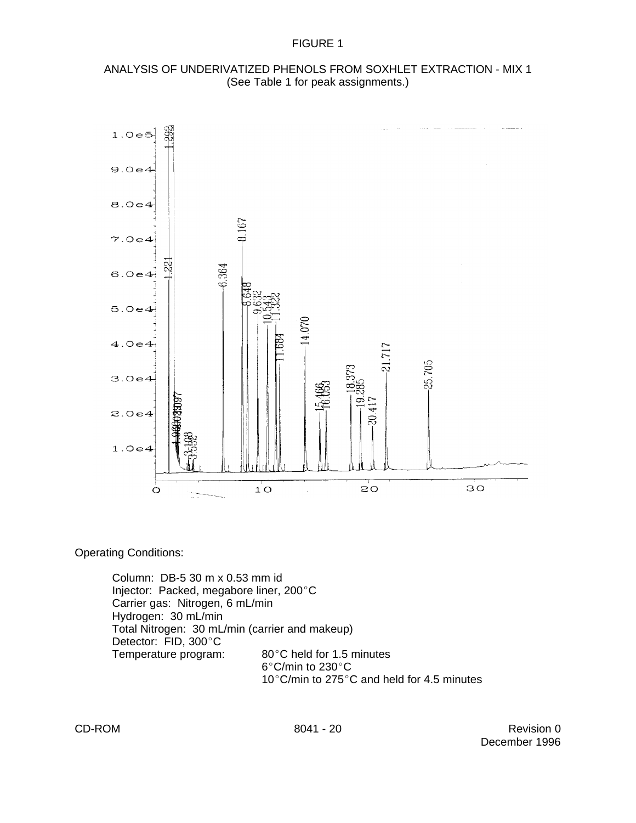

## ANALYSIS OF UNDERIVATIZED PHENOLS FROM SOXHLET EXTRACTION - MIX 1 (See Table 1 for peak assignments.)

Operating Conditions:

Column: DB-5 30 m x 0.53 mm id Injector: Packed, megabore liner, 200°C Carrier gas: Nitrogen, 6 mL/min Hydrogen: 30 mL/min Total Nitrogen: 30 mL/min (carrier and makeup) Detector: FID, 300°C<br>Temperature program: 80°C held for 1.5 minutes  $6^{\circ}$ C/min to 230 $^{\circ}$ C 10 $^{\circ}$ C/min to 275 $^{\circ}$ C and held for 4.5 minutes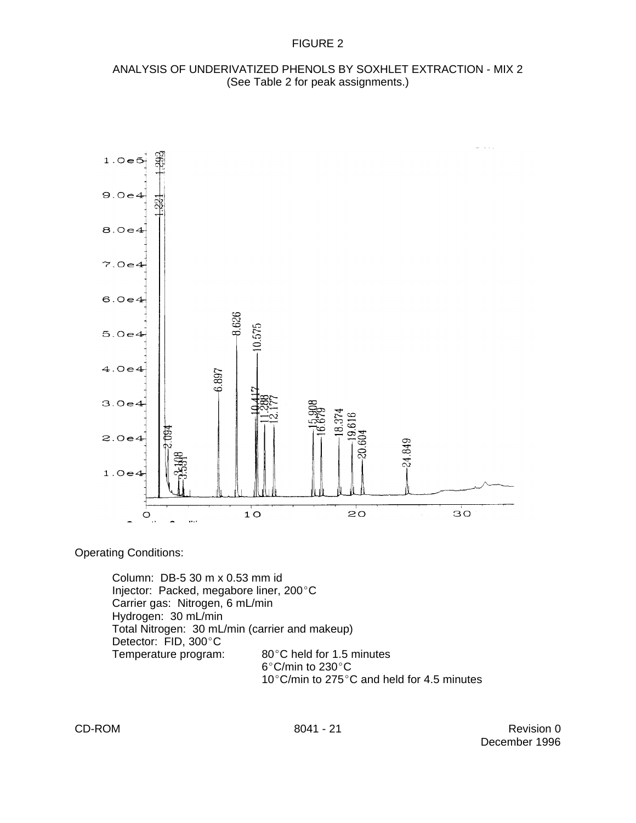## ANALYSIS OF UNDERIVATIZED PHENOLS BY SOXHLET EXTRACTION - MIX 2 (See Table 2 for peak assignments.)



Operating Conditions:

Column: DB-5 30 m x 0.53 mm id Injector: Packed, megabore liner, 200°C Carrier gas: Nitrogen, 6 mL/min Hydrogen: 30 mL/min Total Nitrogen: 30 mL/min (carrier and makeup) Detector: FID, 300°C<br>Temperature program: 80°C held for 1.5 minutes  $6^{\circ}$ C/min to 230 $^{\circ}$ C 10 $^{\circ}$ C/min to 275 $^{\circ}$ C and held for 4.5 minutes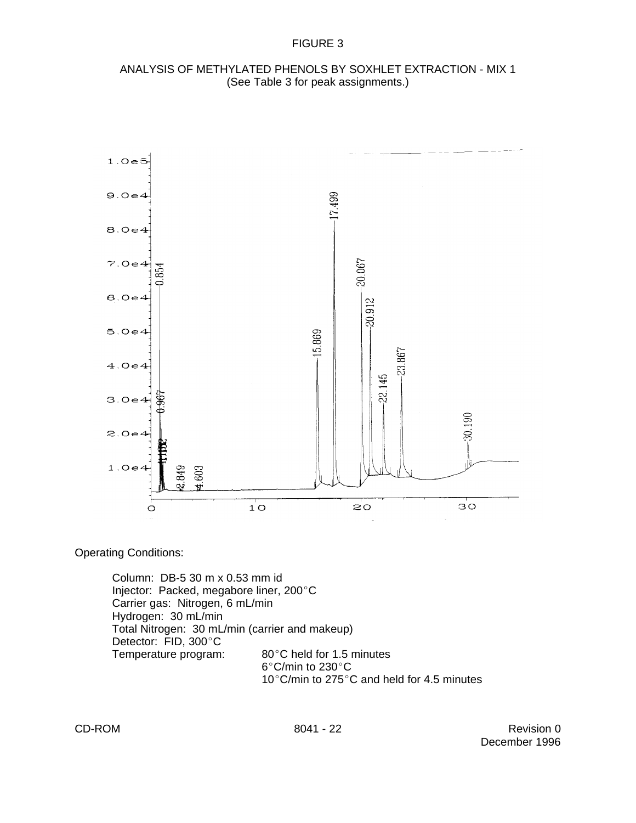



Operating Conditions:

Column: DB-5 30 m x 0.53 mm id Injector: Packed, megabore liner, 200°C Carrier gas: Nitrogen, 6 mL/min Hydrogen: 30 mL/min Total Nitrogen: 30 mL/min (carrier and makeup) Detector: FID, 300°C<br>Temperature program:  $80^{\circ}$ C held for 1.5 minutes  $6^{\circ}$ C/min to 230 $^{\circ}$ C 10 $^{\circ}$ C/min to 275 $^{\circ}$ C and held for 4.5 minutes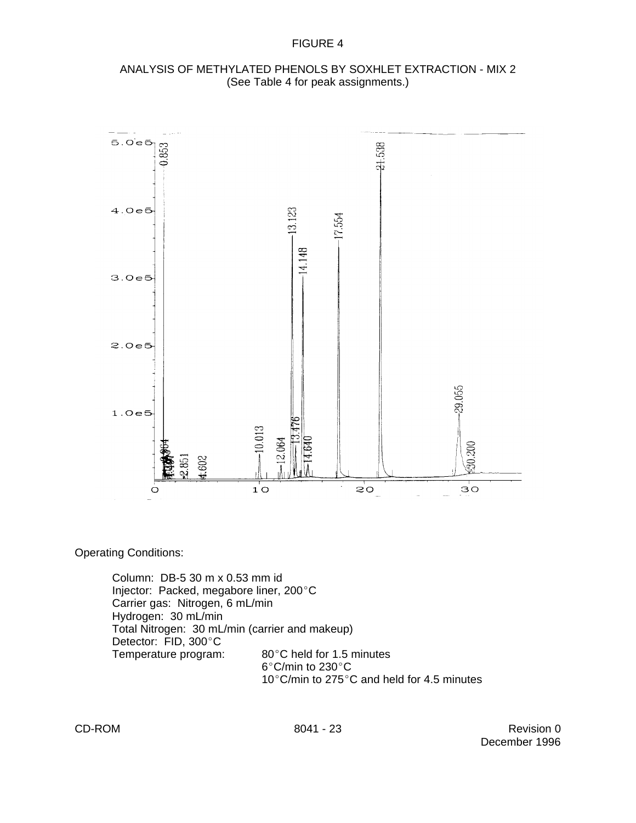

## ANALYSIS OF METHYLATED PHENOLS BY SOXHLET EXTRACTION - MIX 2 (See Table 4 for peak assignments.)

Operating Conditions:

Column: DB-5 30 m x 0.53 mm id Injector: Packed, megabore liner, 200°C Carrier gas: Nitrogen, 6 mL/min Hydrogen: 30 mL/min Total Nitrogen: 30 mL/min (carrier and makeup) Detector: FID, 300°C<br>Temperature program:  $80^{\circ}$ C held for 1.5 minutes  $6^{\circ}$ C/min to 230 $^{\circ}$ C 10 $^{\circ}$ C/min to 275 $^{\circ}$ C and held for 4.5 minutes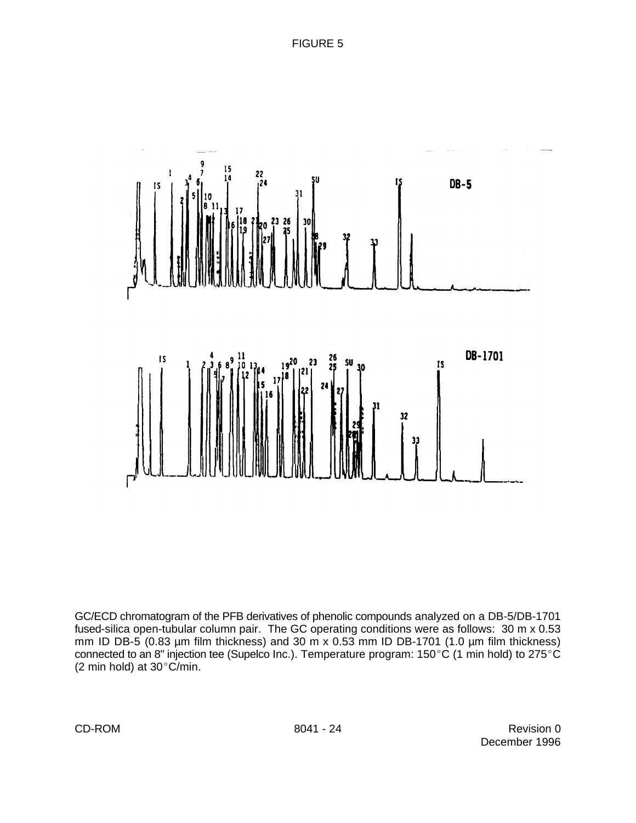

GC/ECD chromatogram of the PFB derivatives of phenolic compounds analyzed on a DB-5/DB-1701 fused-silica open-tubular column pair. The GC operating conditions were as follows: 30 m x 0.53 mm ID DB-5 (0.83 µm film thickness) and 30 m x 0.53 mm ID DB-1701 (1.0 µm film thickness) connected to an 8" injection tee (Supelco Inc.). Temperature program:  $150^{\circ}$ C (1 min hold) to 275<sup>°</sup>C (2 min hold) at  $30^{\circ}$ C/min.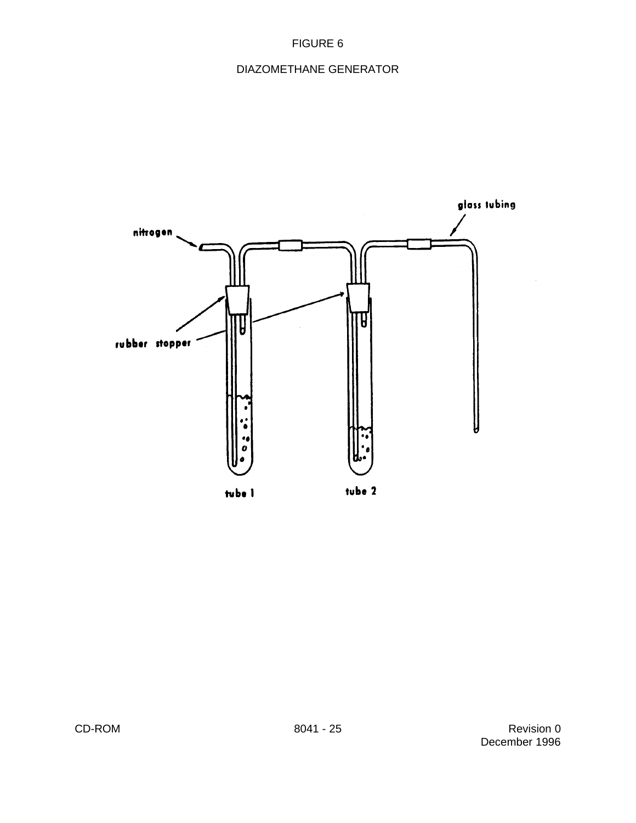# DIAZOMETHANE GENERATOR